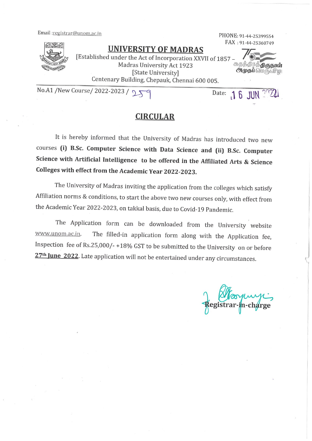Email:registrar@unom.ac.in



**UNIVERSITY OF MADRAS** 

PHONE: 91-44-25399554 FAX: 91-44-25360749

 $16$  JUN

Date:

**ூமுதப்** பெருவிழ

[Established under the Act of Incorporation XXVII of 1857 Madras University Act 1923 சுதந்திரத்**திருநாள்** [State University] Centenary Building, Chepauk, Chennai 600 005.

No.A1 /New Course/ 2022-2023 /  $D X$ 

# **CIRCULAR**

It is hereby informed that the University of Madras has introduced two new courses (i) B.Sc. Computer Science with Data Science and (ii) B.Sc. Computer Science with Artificial Intelligence to be offered in the Affiliated Arts & Science Colleges with effect from the Academic Year 2022-2023.

The University of Madras inviting the application from the colleges which satisfy Affiliation norms & conditions, to start the above two new courses only, with effect from the Academic Year 2022-2023, on takkal basis, due to Covid-19 Pandemic.

The Application form can be downloaded from the University website The filled-in application form along with the Application fee, www.unom.ac.in. Inspection fee of Rs.25,000/-+18% GST to be submitted to the University on or before 27<sup>th</sup> June 2022. Late application will not be entertained under any circumstances.

n-charge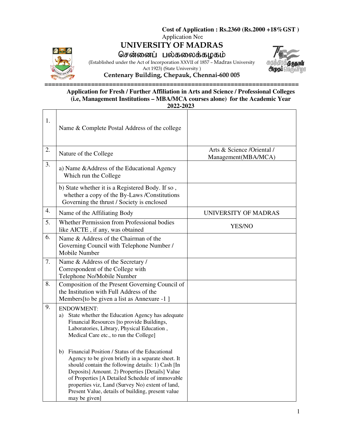**UNIVERSITY OF MADRAS** 



சென்னைப் பல்கலைக்கழகம்

(Established under the Act of Incorporation XXVII of 1857 – Madras University Act 1923) (State University )



**Centenary Building, Chepauk, Chennai-600 005** 

#### **======================================================================= Application for Fresh / Further Affiliation in Arts and Science / Professional Colleges (i.e, Management Institutions – MBA/MCA courses alone) for the Academic Year 2022-2023**

| 1. | Name & Complete Postal Address of the college                                                                                                                                                                                                                                                                                                                                                   |                                                   |
|----|-------------------------------------------------------------------------------------------------------------------------------------------------------------------------------------------------------------------------------------------------------------------------------------------------------------------------------------------------------------------------------------------------|---------------------------------------------------|
| 2. | Nature of the College                                                                                                                                                                                                                                                                                                                                                                           | Arts & Science /Oriental /<br>Management(MBA/MCA) |
| 3. | a) Name & Address of the Educational Agency<br>Which run the College                                                                                                                                                                                                                                                                                                                            |                                                   |
|    | b) State whether it is a Registered Body. If so,<br>whether a copy of the By-Laws /Constitutions<br>Governing the thrust / Society is enclosed                                                                                                                                                                                                                                                  |                                                   |
| 4. | Name of the Affiliating Body                                                                                                                                                                                                                                                                                                                                                                    | UNIVERSITY OF MADRAS                              |
| 5. | Whether Permission from Professional bodies<br>like AICTE, if any, was obtained                                                                                                                                                                                                                                                                                                                 | YES/NO                                            |
| 6. | Name & Address of the Chairman of the<br>Governing Council with Telephone Number /<br>Mobile Number                                                                                                                                                                                                                                                                                             |                                                   |
| 7. | Name & Address of the Secretary /<br>Correspondent of the College with<br>Telephone No/Mobile Number                                                                                                                                                                                                                                                                                            |                                                   |
| 8. | Composition of the Present Governing Council of<br>the Institution with Full Address of the<br>Members [to be given a list as Annexure -1 ]                                                                                                                                                                                                                                                     |                                                   |
| 9. | <b>ENDOWMENT:</b><br>State whether the Education Agency has adequate<br>a)<br>Financial Resources [to provide Buildings,<br>Laboratories, Library, Physical Education,<br>Medical Care etc., to run the College]                                                                                                                                                                                |                                                   |
|    | Financial Position / Status of the Educational<br>b)<br>Agency to be given briefly in a separate sheet. It<br>should contain the following details: 1) Cash [In<br>Deposits] Amount. 2) Properties [Details] Value<br>of Properties [A Detailed Schedule of immovable<br>properties viz, Land (Survey No) extent of land,<br>Present Value, details of building, present value<br>may be given] |                                                   |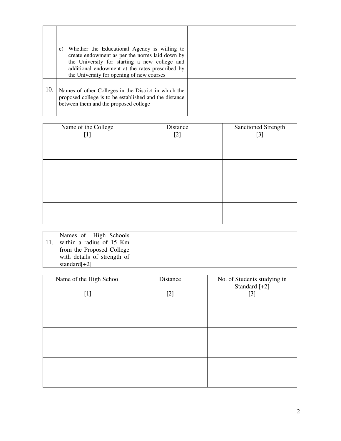|     | Whether the Educational Agency is willing to<br>C)<br>create endowment as per the norms laid down by<br>the University for starting a new college and<br>additional endowment at the rates prescribed by<br>the University for opening of new courses |  |
|-----|-------------------------------------------------------------------------------------------------------------------------------------------------------------------------------------------------------------------------------------------------------|--|
| 10. | Names of other Colleges in the District in which the<br>proposed college is to be established and the distance<br>between them and the proposed college                                                                                               |  |

| Name of the College | Distance | Sanctioned Strength |
|---------------------|----------|---------------------|
| [1]                 | $[2]$    | $[3]$               |
|                     |          |                     |
|                     |          |                     |
|                     |          |                     |
|                     |          |                     |
|                     |          |                     |
|                     |          |                     |
|                     |          |                     |
|                     |          |                     |
|                     |          |                     |
|                     |          |                     |
|                     |          |                     |
|                     |          |                     |

| Names of High Schools       |
|-----------------------------|
| within a radius of 15 Km    |
| from the Proposed College   |
| with details of strength of |
| standard $[+2]$             |

| Name of the High School | Distance | No. of Students studying in<br>Standard [+2] |
|-------------------------|----------|----------------------------------------------|
| $[1]$                   | $[2]$    | $[3]$                                        |
|                         |          |                                              |
|                         |          |                                              |
|                         |          |                                              |
|                         |          |                                              |
|                         |          |                                              |
|                         |          |                                              |
|                         |          |                                              |
|                         |          |                                              |
|                         |          |                                              |
|                         |          |                                              |
|                         |          |                                              |
|                         |          |                                              |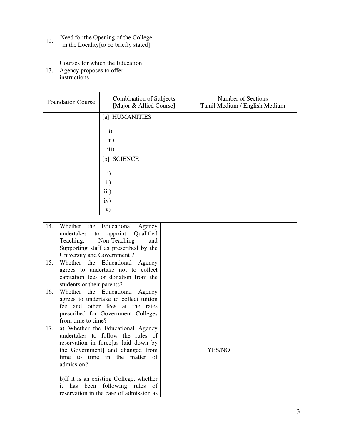| 12. | Need for the Opening of the College<br>in the Locality [to be briefly stated] |  |
|-----|-------------------------------------------------------------------------------|--|
| 13. | Courses for which the Education<br>Agency proposes to offer<br>instructions   |  |

| <b>Foundation Course</b> | <b>Combination of Subjects</b><br>[Major & Allied Course] | Number of Sections<br>Tamil Medium / English Medium |
|--------------------------|-----------------------------------------------------------|-----------------------------------------------------|
|                          | [a] HUMANITIES                                            |                                                     |
|                          | $\mathbf{i}$                                              |                                                     |
|                          | $\mathbf{ii}$                                             |                                                     |
|                          | iii)                                                      |                                                     |
|                          | [b] SCIENCE                                               |                                                     |
|                          | $\mathbf{i}$                                              |                                                     |
|                          | $\rm ii)$                                                 |                                                     |
|                          | iii)                                                      |                                                     |
|                          | iv)                                                       |                                                     |
|                          | V)                                                        |                                                     |

| 14. | Whether the Educational<br>Agency<br>Qualified<br>undertakes to<br>appoint<br>Teaching, Non-Teaching<br>and<br>Supporting staff as prescribed by the<br>University and Government?                                                                                                                                          |        |
|-----|-----------------------------------------------------------------------------------------------------------------------------------------------------------------------------------------------------------------------------------------------------------------------------------------------------------------------------|--------|
| 15. | Whether the Educational Agency<br>agrees to undertake not to collect<br>capitation fees or donation from the<br>students or their parents?                                                                                                                                                                                  |        |
| 16. | Whether the Educational Agency<br>agrees to undertake to collect tuition<br>fee and other fees at the rates<br>prescribed for Government Colleges<br>from time to time?                                                                                                                                                     |        |
| 17. | a) Whether the Educational Agency<br>undertakes to follow the rules of<br>reservation in force [as laid down by<br>the Government] and changed from<br>time to time in the matter of<br>admission?<br>b) If it is an existing College, whether<br>it has been following rules of<br>reservation in the case of admission as | YES/NO |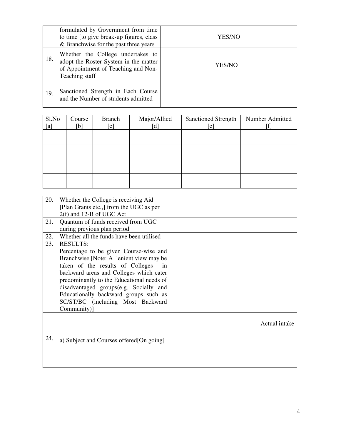|     | formulated by Government from time<br>to time [to give break-up figures, class]<br>& Branchwise for the past three years            | YES/NO |
|-----|-------------------------------------------------------------------------------------------------------------------------------------|--------|
| 18. | Whether the College undertakes to<br>adopt the Roster System in the matter<br>of Appointment of Teaching and Non-<br>Teaching staff | YES/NO |
| 19. | Sanctioned Strength in Each Course<br>and the Number of students admitted                                                           |        |

| Sl.No<br>[a] | Course<br>[b] | <b>Branch</b><br>[c] | Major/Allied<br>[d] | <b>Sanctioned Strength</b><br>[e] | Number Admitted |
|--------------|---------------|----------------------|---------------------|-----------------------------------|-----------------|
|              |               |                      |                     |                                   |                 |
|              |               |                      |                     |                                   |                 |
|              |               |                      |                     |                                   |                 |
|              |               |                      |                     |                                   |                 |

| 20. | Whether the College is receiving Aid      |               |
|-----|-------------------------------------------|---------------|
|     | [Plan Grants etc.,] from the UGC as per   |               |
|     |                                           |               |
|     | 2(f) and 12-B of UGC Act                  |               |
| 21. | Quantum of funds received from UGC        |               |
|     | during previous plan period               |               |
| 22. | Whether all the funds have been utilised  |               |
| 23. | <b>RESULTS:</b>                           |               |
|     | Percentage to be given Course-wise and    |               |
|     | Branchwise [Note: A lenient view may be   |               |
|     | taken of the results of Colleges<br>in    |               |
|     | backward areas and Colleges which cater   |               |
|     | predominantly to the Educational needs of |               |
|     | disadvantaged groups(e.g. Socially and    |               |
|     | Educationally backward groups such as     |               |
|     | SC/ST/BC (including Most Backward         |               |
|     | Community)]                               |               |
|     |                                           |               |
|     |                                           | Actual intake |
|     |                                           |               |
| 24. | a) Subject and Courses offered [On going] |               |
|     |                                           |               |
|     |                                           |               |
|     |                                           |               |
|     |                                           |               |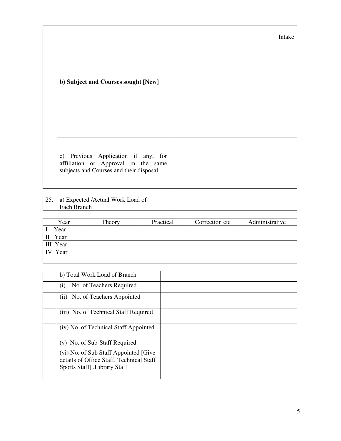|                                                                                | Intake |
|--------------------------------------------------------------------------------|--------|
| b) Subject and Courses sought [New]                                            |        |
|                                                                                |        |
| c) Previous Application if any, for                                            |        |
| affiliation or Approval in the same<br>subjects and Courses and their disposal |        |

| a) Expected /Actual Work Load of |  |
|----------------------------------|--|
| ' Each Branch                    |  |

| Year     | Theory | Practical | Correction etc | Administrative |
|----------|--------|-----------|----------------|----------------|
| Year     |        |           |                |                |
| II Year  |        |           |                |                |
| III Year |        |           |                |                |
| IV Year  |        |           |                |                |
|          |        |           |                |                |

| b) Total Work Load of Branch                                                                                       |  |
|--------------------------------------------------------------------------------------------------------------------|--|
| No. of Teachers Required<br>(i)                                                                                    |  |
| (ii) No. of Teachers Appointed                                                                                     |  |
| (iii) No. of Technical Staff Required                                                                              |  |
| (iv) No. of Technical Staff Appointed                                                                              |  |
| (v) No. of Sub-Staff Required                                                                                      |  |
| (vi) No. of Sub Staff Appointed [Give<br>details of Office Staff, Technical Staff<br>Sports Staff] , Library Staff |  |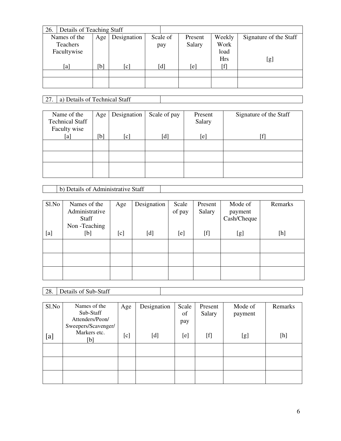| Details of Teaching Staff<br>26. |     |                   |          |         |            |                        |
|----------------------------------|-----|-------------------|----------|---------|------------|------------------------|
| Names of the                     | Age | Designation       | Scale of | Present | Weekly     | Signature of the Staff |
| <b>Teachers</b>                  |     |                   | pay      | Salary  | Work       |                        |
| Facultywise                      |     |                   |          |         | load       |                        |
|                                  |     |                   |          |         | <b>Hrs</b> | [g]                    |
| [a]                              | [b] | $\lceil c \rceil$ | [d]      | [e]     | [f]        |                        |
|                                  |     |                   |          |         |            |                        |
|                                  |     |                   |          |         |            |                        |
|                                  |     |                   |          |         |            |                        |

# 27. a) Details of Technical Staff

| Name of the            | Age | Designation | Scale of pay | Present | Signature of the Staff |
|------------------------|-----|-------------|--------------|---------|------------------------|
| <b>Technical Staff</b> |     |             |              | Salary  |                        |
| Faculty wise           | [b] |             | [d]          |         |                        |
| [a]                    |     | [c]         |              | [e]     |                        |
|                        |     |             |              |         |                        |
|                        |     |             |              |         |                        |
|                        |     |             |              |         |                        |
|                        |     |             |              |         |                        |

b) Details of Administrative Staff

| Sl.No | Names of the<br>Administrative<br>Staff<br>Non-Teaching | Age | Designation | Scale<br>of pay | Present<br>Salary | Mode of<br>payment<br>Cash/Cheque | Remarks                                                                                                                                                                                                                                                                                                                                                                                                                                                                                                                                                                                                                                       |
|-------|---------------------------------------------------------|-----|-------------|-----------------|-------------------|-----------------------------------|-----------------------------------------------------------------------------------------------------------------------------------------------------------------------------------------------------------------------------------------------------------------------------------------------------------------------------------------------------------------------------------------------------------------------------------------------------------------------------------------------------------------------------------------------------------------------------------------------------------------------------------------------|
| [a]   | [b]                                                     | [c] | [d]         | [e]             | [f]               | [g]                               | $[h] % \begin{center} % \includegraphics[width=\linewidth]{imagesSupplemental_3.png} % \end{center} % \caption { % Our method can be used for the proposed method. % Note that the \emph{exponent} is the \emph{exponent} and the \emph{exponent} is the \emph{exponent} and the \emph{exponent} is the \emph{exponent} and the \emph{exponent} is the \emph{exponent} and the \emph{exponent} is the \emph{exponent} and the \emph{exponent} is the \emph{exponent} and the \emph{exponent} is the \emph{exponent} and the \emph{exponent} is the \emph{exponent} and the \emph{exponent} is the \emph{exponent} and the \emph{exponent} is$ |
|       |                                                         |     |             |                 |                   |                                   |                                                                                                                                                                                                                                                                                                                                                                                                                                                                                                                                                                                                                                               |
|       |                                                         |     |             |                 |                   |                                   |                                                                                                                                                                                                                                                                                                                                                                                                                                                                                                                                                                                                                                               |
|       |                                                         |     |             |                 |                   |                                   |                                                                                                                                                                                                                                                                                                                                                                                                                                                                                                                                                                                                                                               |

28. Details of Sub-Staff

| Sl.No | Names of the<br>Sub-Staff              | Age | Designation | Scale<br>of | Present<br>Salary | Mode of<br>payment | Remarks                                                                                                                                                                                              |
|-------|----------------------------------------|-----|-------------|-------------|-------------------|--------------------|------------------------------------------------------------------------------------------------------------------------------------------------------------------------------------------------------|
|       | Attenders/Peon/<br>Sweepers/Scavenger/ |     |             | pay         |                   |                    |                                                                                                                                                                                                      |
| [a]   | Markers etc.<br>[b]                    | [c] | [d]         | [e]         | $[f]$             | [g]                | $[h] \centering \includegraphics[width=0.45\textwidth]{Figures/PD1.png} \caption{The 3D (black) model for the 3D (black) model. The 3D (black) model is shown in Fig.~\ref{fig:10}.} \label{fig:11}$ |
|       |                                        |     |             |             |                   |                    |                                                                                                                                                                                                      |
|       |                                        |     |             |             |                   |                    |                                                                                                                                                                                                      |
|       |                                        |     |             |             |                   |                    |                                                                                                                                                                                                      |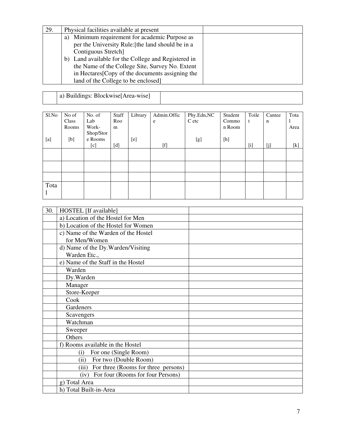| 29. | Physical facilities available at present                      |  |
|-----|---------------------------------------------------------------|--|
|     | Minimum requirement for academic Purpose as<br>a)             |  |
|     | per the University Rule: [the land should be in a             |  |
|     | Contiguous Stretch]                                           |  |
|     | b) Land available for the College and Registered in           |  |
|     | the Name of the College Site, Survey No. Extent               |  |
|     | in Hectares <sup>[Copy of the documents assigning the 1</sup> |  |
|     | land of the College to be enclosed]                           |  |

a) Buildings: Blockwise[Area-wise]

| Sl.No | No of | No. of    | Staff                                                                                                                                                                                                                                                                                                                                                | Library | Admin.Offic                                                                                                                                                                                                                                                                                                                                                                                                                                                                                                                                                                                                                                         | Phy.Edn,NC | Student | Toile | Cantee      | Tota  |
|-------|-------|-----------|------------------------------------------------------------------------------------------------------------------------------------------------------------------------------------------------------------------------------------------------------------------------------------------------------------------------------------------------------|---------|-----------------------------------------------------------------------------------------------------------------------------------------------------------------------------------------------------------------------------------------------------------------------------------------------------------------------------------------------------------------------------------------------------------------------------------------------------------------------------------------------------------------------------------------------------------------------------------------------------------------------------------------------------|------------|---------|-------|-------------|-------|
|       | Class | Lab       | Roo                                                                                                                                                                                                                                                                                                                                                  |         | e                                                                                                                                                                                                                                                                                                                                                                                                                                                                                                                                                                                                                                                   | C etc      | Commo   | t     | $\mathbf n$ |       |
|       | Rooms | Work-     | m                                                                                                                                                                                                                                                                                                                                                    |         |                                                                                                                                                                                                                                                                                                                                                                                                                                                                                                                                                                                                                                                     |            | n Room  |       |             | Area  |
|       |       | Shop/Stor |                                                                                                                                                                                                                                                                                                                                                      |         |                                                                                                                                                                                                                                                                                                                                                                                                                                                                                                                                                                                                                                                     |            |         |       |             |       |
| [a]   | [b]   | e Rooms   |                                                                                                                                                                                                                                                                                                                                                      | [e]     |                                                                                                                                                                                                                                                                                                                                                                                                                                                                                                                                                                                                                                                     | [g]        | [h]     |       |             |       |
|       |       | [c]       | $[d] \centering% \includegraphics[width=1\textwidth]{figs/fig_4a} \caption{The 3D (black) model for the case of the data set. The two different values of the data set. The two different values of the data set. The two different values of the data set. The two different values of the data set is shown in the left and right.} \label{fig:1}$ |         | $[f] % \begin{center} % \includegraphics[width=\linewidth]{imagesSupplemental_3.png} % \end{center} % \caption { % Our method can be used for the use of the image. % Note that the \emph{DefNet} and the \emph{DefNet} is used for the image. % Note that the \emph{DefNet} is used for the image. % Note that the \emph{DefNet} is used for the \emph{DefNet} and the \emph{DefNet} is used for the \emph{DefNet} and the \emph{DefNet} is used for the \emph{DefNet} and the \emph{DefNet} is used for the \emph{DefNet} and the \emph{DefNet} is used for the \emph{DefNet} and the \emph{DefNet} is used for the \emph{DefNet} and the \emph{$ |            |         | $[$   | [i]         | $[k]$ |
|       |       |           |                                                                                                                                                                                                                                                                                                                                                      |         |                                                                                                                                                                                                                                                                                                                                                                                                                                                                                                                                                                                                                                                     |            |         |       |             |       |
|       |       |           |                                                                                                                                                                                                                                                                                                                                                      |         |                                                                                                                                                                                                                                                                                                                                                                                                                                                                                                                                                                                                                                                     |            |         |       |             |       |
|       |       |           |                                                                                                                                                                                                                                                                                                                                                      |         |                                                                                                                                                                                                                                                                                                                                                                                                                                                                                                                                                                                                                                                     |            |         |       |             |       |
|       |       |           |                                                                                                                                                                                                                                                                                                                                                      |         |                                                                                                                                                                                                                                                                                                                                                                                                                                                                                                                                                                                                                                                     |            |         |       |             |       |
|       |       |           |                                                                                                                                                                                                                                                                                                                                                      |         |                                                                                                                                                                                                                                                                                                                                                                                                                                                                                                                                                                                                                                                     |            |         |       |             |       |
| Tota  |       |           |                                                                                                                                                                                                                                                                                                                                                      |         |                                                                                                                                                                                                                                                                                                                                                                                                                                                                                                                                                                                                                                                     |            |         |       |             |       |
|       |       |           |                                                                                                                                                                                                                                                                                                                                                      |         |                                                                                                                                                                                                                                                                                                                                                                                                                                                                                                                                                                                                                                                     |            |         |       |             |       |
|       |       |           |                                                                                                                                                                                                                                                                                                                                                      |         |                                                                                                                                                                                                                                                                                                                                                                                                                                                                                                                                                                                                                                                     |            |         |       |             |       |

| 30. | HOSTEL [If available]                     |  |
|-----|-------------------------------------------|--|
|     | a) Location of the Hostel for Men         |  |
|     | b) Location of the Hostel for Women       |  |
|     | c) Name of the Warden of the Hostel       |  |
|     | for Men/Women                             |  |
|     | d) Name of the Dy. Warden/Visiting        |  |
|     | Warden Etc.,                              |  |
|     | e) Name of the Staff in the Hostel        |  |
|     | Warden                                    |  |
|     | Dy.Warden                                 |  |
|     | Manager                                   |  |
|     | Store-Keeper                              |  |
|     | Cook                                      |  |
|     | Gardeners                                 |  |
|     | Scavengers                                |  |
|     | Watchman                                  |  |
|     | Sweeper                                   |  |
|     | Others                                    |  |
|     | f) Rooms available in the Hostel          |  |
|     | For one (Single Room)<br>(i)              |  |
|     | For two (Double Room)<br>(ii)             |  |
|     | (iii) For three (Rooms for three persons) |  |
|     | For four (Rooms for four Persons)<br>(iv) |  |
|     | g) Total Area                             |  |
|     | h) Total Built-in-Area                    |  |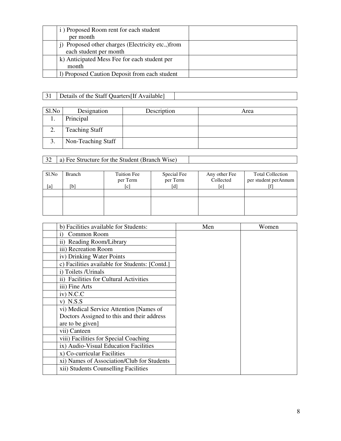| i) Proposed Room rent for each student            |
|---------------------------------------------------|
| per month                                         |
| j) Proposed other charges (Electricity etc., from |
| each student per month                            |
| k) Anticipated Mess Fee for each student per      |
| month                                             |
| 1) Proposed Caution Deposit from each student     |

# 31 Details of the Staff Quarters[If Available]

| Sl.No                   | Designation           | Description | Area |
|-------------------------|-----------------------|-------------|------|
|                         | Principal             |             |      |
|                         | <b>Teaching Staff</b> |             |      |
| $\mathbf{\Omega}$<br>J. | Non-Teaching Staff    |             |      |

# 32 a) Fee Structure for the Student (Branch Wise)

| Sl.No | Branch<br>[b | Tuition Fee<br>per Term | Special Fee<br>per Term<br>[d] | Any other Fee<br>Collected | <b>Total Collection</b><br>per student perAnnum |
|-------|--------------|-------------------------|--------------------------------|----------------------------|-------------------------------------------------|
| [a]   |              | [c]                     |                                | [e]                        |                                                 |
|       |              |                         |                                |                            |                                                 |
|       |              |                         |                                |                            |                                                 |

| b) Facilities available for Students:          | Men | Women |
|------------------------------------------------|-----|-------|
| Common Room<br>1)                              |     |       |
| ii) Reading Room/Library                       |     |       |
| iii) Recreation Room                           |     |       |
| iv) Drinking Water Points                      |     |       |
| c) Facilities available for Students: [Contd.] |     |       |
| i) Toilets /Urinals                            |     |       |
| ii) Facilities for Cultural Activities         |     |       |
| iii) Fine Arts                                 |     |       |
| $iv)$ N.C.C                                    |     |       |
| $V)$ N.S.S                                     |     |       |
| vi) Medical Service Attention [Names of        |     |       |
| Doctors Assigned to this and their address     |     |       |
| are to be given]                               |     |       |
| vii) Canteen                                   |     |       |
| viii) Facilities for Special Coaching          |     |       |
| ix) Audio-Visual Education Facilities          |     |       |
| x) Co-curricular Facilities                    |     |       |
| xi) Names of Association/Club for Students     |     |       |
| xii) Students Counselling Facilities           |     |       |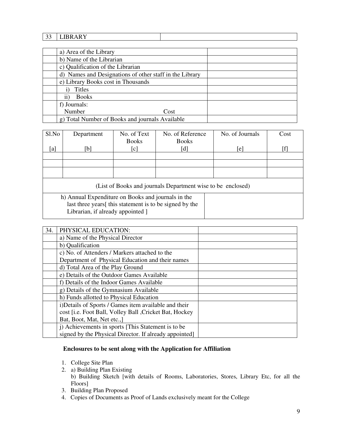### 33 LIBRARY

| a) Area of the Library                                  |
|---------------------------------------------------------|
| b) Name of the Librarian                                |
| c) Qualification of the Librarian                       |
| d) Names and Designations of other staff in the Library |
| e) Library Books cost in Thousands                      |
| Titles                                                  |
| <b>Books</b><br>11)                                     |
| f) Journals:                                            |
| Number<br>Cost                                          |
| g) Total Number of Books and journals Available         |

| Sl.No                                                                                                                           | Department | No. of Text                | No. of Reference | No. of Journals | Cost |
|---------------------------------------------------------------------------------------------------------------------------------|------------|----------------------------|------------------|-----------------|------|
|                                                                                                                                 |            | <b>Books</b>               | <b>Books</b>     |                 |      |
| [a]                                                                                                                             | [b]        | $\left[ \mathrm{c}\right]$ | [d]              | e               |      |
|                                                                                                                                 |            |                            |                  |                 |      |
|                                                                                                                                 |            |                            |                  |                 |      |
|                                                                                                                                 |            |                            |                  |                 |      |
|                                                                                                                                 |            |                            |                  |                 |      |
| $(I_{\text{tot}}^{\text{tot}} \circ f \text{D} \circ \text{e}^{I_{\text{tot}}}$ and ignumely Demontaneant wises to be employed) |            |                            |                  |                 |      |

(List of Books and journals Department wise to be enclosed)

h) Annual Expenditure on Books and journals in the last three years[ this statement is to be signed by the Librarian, if already appointed ]

| 34. | PHYSICAL EDUCATION:                                    |
|-----|--------------------------------------------------------|
|     | a) Name of the Physical Director                       |
|     | b) Qualification                                       |
|     | c) No. of Attenders / Markers attached to the          |
|     | Department of Physical Education and their names       |
|     | d) Total Area of the Play Ground                       |
|     | e) Details of the Outdoor Games Available              |
|     | f) Details of the Indoor Games Available               |
|     | g) Details of the Gymnasium Available                  |
|     | h) Funds allotted to Physical Education                |
|     | i)Details of Sports / Games item available and their   |
|     | cost [i.e. Foot Ball, Volley Ball, Cricket Bat, Hockey |
|     | Bat, Boot, Mat, Net etc.,                              |
|     | j) Achievements in sports [This Statement is to be     |
|     | signed by the Physical Director. If already appointed  |

## **Enclosures to be sent along with the Application for Affiliation**

- 1. College Site Plan
- 2. a) Building Plan Existing b) Building Sketch [with details of Rooms, Laboratories, Stores, Library Etc, for all the Floors]
- 3. Building Plan Proposed
- 4. Copies of Documents as Proof of Lands exclusively meant for the College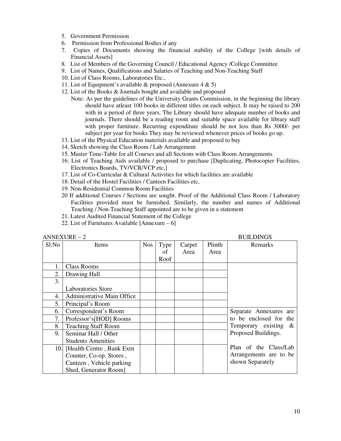- 5. Government Permission
- 6. Permission from Professional Bodies if any
- 7. Copies of Documents showing the financial stability of the College [with details of Financial Assets]
- 8. List of Members of the Governing Council / Educational Agency /College Committee
- 9. List of Names, Qualifications and Salaries of Teaching and Non-Teaching Staff
- 10. List of Class Rooms, Laboratories Etc.,
- 11. List of Equipment's available & proposed (Annexure 4 & 5)
- 12. List of the Books & Journals bought and available and proposed
	- Note: As per the guidelines of the University Grants Commission, in the beginning the library should have atleast 100 books in different titles on each subject. It may be raised to 200 with in a period of three years. The Library should have adequate number of books and journals. There should be a reading room and suitable space available for library staff with proper furniture. Recurring expenditure should be not less than Rs 3000/- per subject per year for books They may be reviewed whenever prices of books go up.
- 13. List of the Physical Education materials available and proposed to buy
- 14. Sketch showing the Class Room / Lab Arrangement
- 15. Master Time-Table for all Courses and all Sections with Class Room Arrangements
- 16. List of Teaching Aids available / proposed to purchase [Duplicating, Photocopier Facilities, Electronics Boards, TV/VCR/VCP etc,]
- 17. List of Co-Curricular & Cultural Activities for which facilities are available
- 18. Detail of the Hostel Facilities / Canteen Facilities etc,
- 19. Non-Residential Common Room Facilities
- 20 If additional Courses / Sections are sought. Proof of the Additional Class Room / Laboratory Facilities provided must be furnished. Similarly, the number and names of Additional Teaching / Non-Teaching Staff appointed are to be given in a statement
- 21. Latest Audited Financial Statement of the College
- 22. List of Furnitures Available [Annexure 6]

| $ANNEXURE - 2$ |                                |            |      |        |        | <b>BUILDINGS</b>        |
|----------------|--------------------------------|------------|------|--------|--------|-------------------------|
| Sl.No          | Items                          | <b>Nos</b> | Type | Carpet | Plinth | Remarks                 |
|                |                                |            | of   | Area   | Area   |                         |
|                |                                |            | Roof |        |        |                         |
| 1.             | <b>Class Rooms</b>             |            |      |        |        |                         |
| 2.             | Drawing Hall                   |            |      |        |        |                         |
| 3.             |                                |            |      |        |        |                         |
|                | <b>Laboratories Store</b>      |            |      |        |        |                         |
| 4.             | Administrative Main Office     |            |      |        |        |                         |
| 5.             | Principal's Room               |            |      |        |        |                         |
| 6.             | Correspondent's Room           |            |      |        |        | Separate Annexures are  |
| 7.             | Professor's [HOD] Rooms        |            |      |        |        | to be enclosed for the  |
| 8.             | <b>Teaching Staff Room</b>     |            |      |        |        | Temporary existing $\&$ |
| 9.             | Seminar Hall / Other           |            |      |        |        | Proposed Buildings.     |
|                | <b>Students Amenities</b>      |            |      |        |        |                         |
|                | 10. [Health Centre, Bank Extn] |            |      |        |        | Plan of the Class/Lab   |
|                | Counter, Co-op. Stores,        |            |      |        |        | Arrangements are to be  |
|                | Canteen, Vehicle parking       |            |      |        |        | shown Separately        |
|                | Shed, Generator Room]          |            |      |        |        |                         |